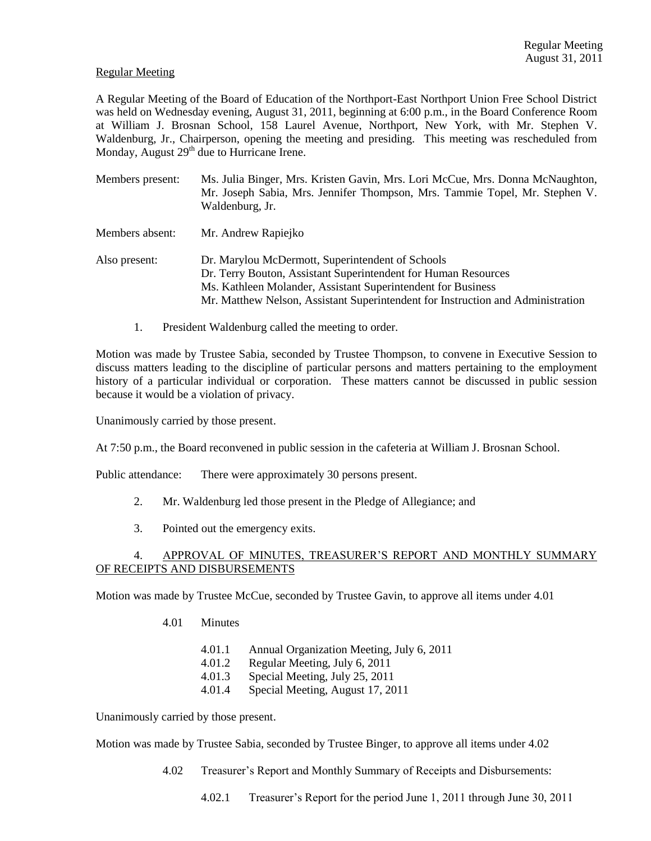### Regular Meeting

A Regular Meeting of the Board of Education of the Northport-East Northport Union Free School District was held on Wednesday evening, August 31, 2011, beginning at 6:00 p.m., in the Board Conference Room at William J. Brosnan School, 158 Laurel Avenue, Northport, New York, with Mr. Stephen V. Waldenburg, Jr., Chairperson, opening the meeting and presiding. This meeting was rescheduled from Monday, August 29<sup>th</sup> due to Hurricane Irene.

| Members present: | Ms. Julia Binger, Mrs. Kristen Gavin, Mrs. Lori McCue, Mrs. Donna McNaughton,<br>Mr. Joseph Sabia, Mrs. Jennifer Thompson, Mrs. Tammie Topel, Mr. Stephen V.<br>Waldenburg, Jr.                                                                                       |
|------------------|-----------------------------------------------------------------------------------------------------------------------------------------------------------------------------------------------------------------------------------------------------------------------|
| Members absent:  | Mr. Andrew Rapiejko                                                                                                                                                                                                                                                   |
| Also present:    | Dr. Marylou McDermott, Superintendent of Schools<br>Dr. Terry Bouton, Assistant Superintendent for Human Resources<br>Ms. Kathleen Molander, Assistant Superintendent for Business<br>Mr. Matthew Nelson, Assistant Superintendent for Instruction and Administration |

1. President Waldenburg called the meeting to order.

Motion was made by Trustee Sabia, seconded by Trustee Thompson, to convene in Executive Session to discuss matters leading to the discipline of particular persons and matters pertaining to the employment history of a particular individual or corporation. These matters cannot be discussed in public session because it would be a violation of privacy.

Unanimously carried by those present.

At 7:50 p.m., the Board reconvened in public session in the cafeteria at William J. Brosnan School.

Public attendance: There were approximately 30 persons present.

- 2. Mr. Waldenburg led those present in the Pledge of Allegiance; and
- 3. Pointed out the emergency exits.

# APPROVAL OF MINUTES, TREASURER'S REPORT AND MONTHLY SUMMARY OF RECEIPTS AND DISBURSEMENTS

Motion was made by Trustee McCue, seconded by Trustee Gavin, to approve all items under 4.01

- 4.01 Minutes
	- 4.01.1 Annual Organization Meeting, July 6, 2011
	- 4.01.2 Regular Meeting, July 6, 2011
	- 4.01.3 Special Meeting, July 25, 2011
	- 4.01.4 Special Meeting, August 17, 2011

Unanimously carried by those present.

Motion was made by Trustee Sabia, seconded by Trustee Binger, to approve all items under 4.02

- 4.02 Treasurer's Report and Monthly Summary of Receipts and Disbursements:
	- 4.02.1 Treasurer's Report for the period June 1, 2011 through June 30, 2011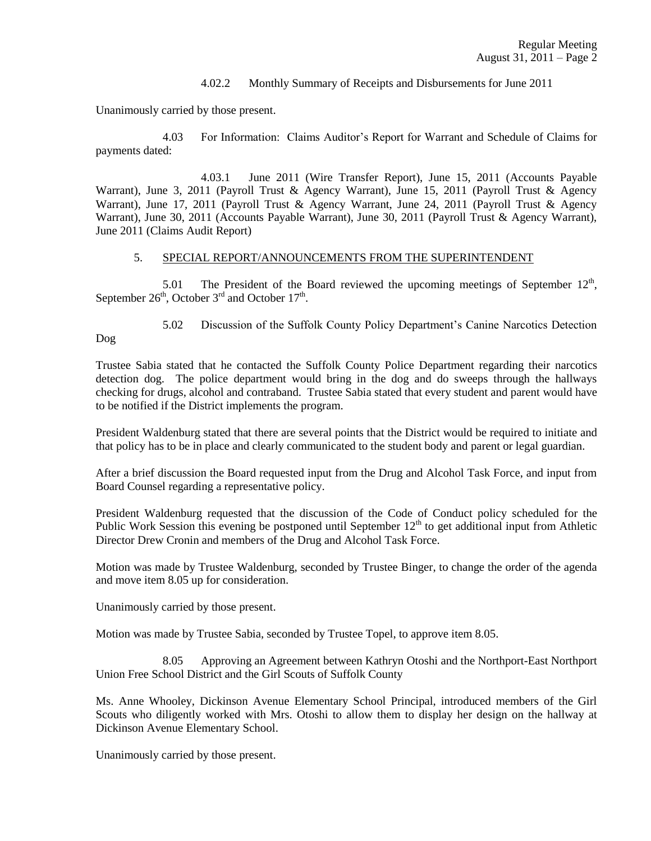### 4.02.2 Monthly Summary of Receipts and Disbursements for June 2011

Unanimously carried by those present.

4.03 For Information: Claims Auditor's Report for Warrant and Schedule of Claims for payments dated:

4.03.1 June 2011 (Wire Transfer Report), June 15, 2011 (Accounts Payable Warrant), June 3, 2011 (Payroll Trust & Agency Warrant), June 15, 2011 (Payroll Trust & Agency Warrant), June 17, 2011 (Payroll Trust & Agency Warrant, June 24, 2011 (Payroll Trust & Agency Warrant), June 30, 2011 (Accounts Payable Warrant), June 30, 2011 (Payroll Trust & Agency Warrant), June 2011 (Claims Audit Report)

### 5. SPECIAL REPORT/ANNOUNCEMENTS FROM THE SUPERINTENDENT

5.01 The President of the Board reviewed the upcoming meetings of September  $12<sup>th</sup>$ , September  $26<sup>th</sup>$ , October  $3<sup>rd</sup>$  and October  $17<sup>th</sup>$ .

5.02 Discussion of the Suffolk County Policy Department's Canine Narcotics Detection

Dog

Trustee Sabia stated that he contacted the Suffolk County Police Department regarding their narcotics detection dog. The police department would bring in the dog and do sweeps through the hallways checking for drugs, alcohol and contraband. Trustee Sabia stated that every student and parent would have to be notified if the District implements the program.

President Waldenburg stated that there are several points that the District would be required to initiate and that policy has to be in place and clearly communicated to the student body and parent or legal guardian.

After a brief discussion the Board requested input from the Drug and Alcohol Task Force, and input from Board Counsel regarding a representative policy.

President Waldenburg requested that the discussion of the Code of Conduct policy scheduled for the Public Work Session this evening be postponed until September  $12<sup>th</sup>$  to get additional input from Athletic Director Drew Cronin and members of the Drug and Alcohol Task Force.

Motion was made by Trustee Waldenburg, seconded by Trustee Binger, to change the order of the agenda and move item 8.05 up for consideration.

Unanimously carried by those present.

Motion was made by Trustee Sabia, seconded by Trustee Topel, to approve item 8.05.

8.05 Approving an Agreement between Kathryn Otoshi and the Northport-East Northport Union Free School District and the Girl Scouts of Suffolk County

Ms. Anne Whooley, Dickinson Avenue Elementary School Principal, introduced members of the Girl Scouts who diligently worked with Mrs. Otoshi to allow them to display her design on the hallway at Dickinson Avenue Elementary School.

Unanimously carried by those present.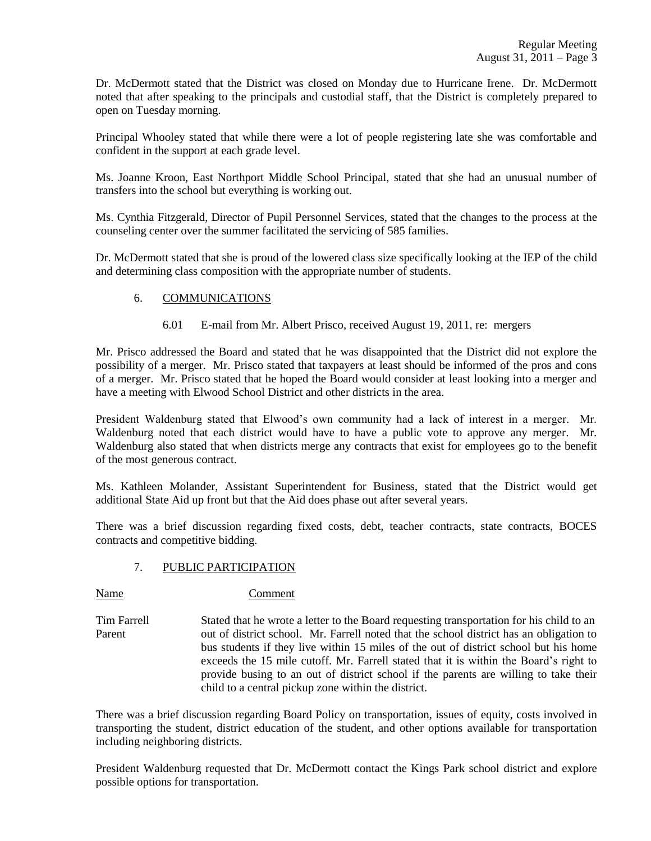Dr. McDermott stated that the District was closed on Monday due to Hurricane Irene. Dr. McDermott noted that after speaking to the principals and custodial staff, that the District is completely prepared to open on Tuesday morning.

Principal Whooley stated that while there were a lot of people registering late she was comfortable and confident in the support at each grade level.

Ms. Joanne Kroon, East Northport Middle School Principal, stated that she had an unusual number of transfers into the school but everything is working out.

Ms. Cynthia Fitzgerald, Director of Pupil Personnel Services, stated that the changes to the process at the counseling center over the summer facilitated the servicing of 585 families.

Dr. McDermott stated that she is proud of the lowered class size specifically looking at the IEP of the child and determining class composition with the appropriate number of students.

# 6. COMMUNICATIONS

6.01 E-mail from Mr. Albert Prisco, received August 19, 2011, re: mergers

Mr. Prisco addressed the Board and stated that he was disappointed that the District did not explore the possibility of a merger. Mr. Prisco stated that taxpayers at least should be informed of the pros and cons of a merger. Mr. Prisco stated that he hoped the Board would consider at least looking into a merger and have a meeting with Elwood School District and other districts in the area.

President Waldenburg stated that Elwood's own community had a lack of interest in a merger. Mr. Waldenburg noted that each district would have to have a public vote to approve any merger. Mr. Waldenburg also stated that when districts merge any contracts that exist for employees go to the benefit of the most generous contract.

Ms. Kathleen Molander, Assistant Superintendent for Business, stated that the District would get additional State Aid up front but that the Aid does phase out after several years.

There was a brief discussion regarding fixed costs, debt, teacher contracts, state contracts, BOCES contracts and competitive bidding.

# 7. PUBLIC PARTICIPATION

Name Comment

Tim Farrell Stated that he wrote a letter to the Board requesting transportation for his child to an Parent out of district school. Mr. Farrell noted that the school district has an obligation to bus students if they live within 15 miles of the out of district school but his home exceeds the 15 mile cutoff. Mr. Farrell stated that it is within the Board's right to provide busing to an out of district school if the parents are willing to take their child to a central pickup zone within the district.

There was a brief discussion regarding Board Policy on transportation, issues of equity, costs involved in transporting the student, district education of the student, and other options available for transportation including neighboring districts.

President Waldenburg requested that Dr. McDermott contact the Kings Park school district and explore possible options for transportation.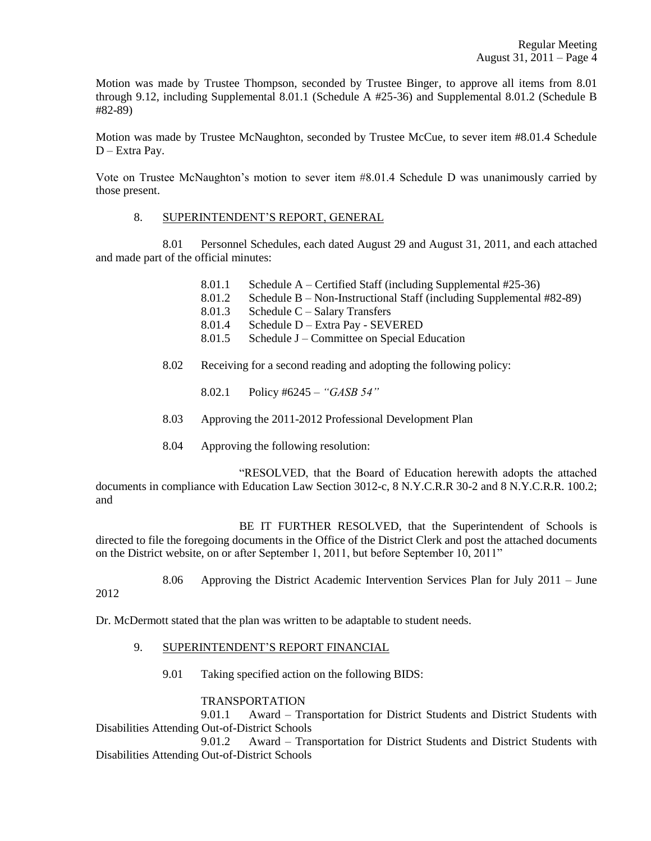Motion was made by Trustee Thompson, seconded by Trustee Binger, to approve all items from 8.01 through 9.12, including Supplemental 8.01.1 (Schedule A #25-36) and Supplemental 8.01.2 (Schedule B #82-89)

Motion was made by Trustee McNaughton, seconded by Trustee McCue, to sever item #8.01.4 Schedule D – Extra Pay.

Vote on Trustee McNaughton's motion to sever item #8.01.4 Schedule D was unanimously carried by those present.

### 8. SUPERINTENDENT'S REPORT, GENERAL

8.01 Personnel Schedules, each dated August 29 and August 31, 2011, and each attached and made part of the official minutes:

- 8.01.1 Schedule A Certified Staff (including Supplemental #25-36)
- 8.01.2 Schedule B Non-Instructional Staff (including Supplemental #82-89)
- 8.01.3 Schedule C Salary Transfers
- 8.01.4 Schedule D Extra Pay SEVERED
- 8.01.5 Schedule J Committee on Special Education
- 8.02 Receiving for a second reading and adopting the following policy:
	- 8.02.1 Policy #6245 *"GASB 54"*
- 8.03 Approving the 2011-2012 Professional Development Plan
- 8.04 Approving the following resolution:

"RESOLVED, that the Board of Education herewith adopts the attached documents in compliance with Education Law Section 3012-c, 8 N.Y.C.R.R 30-2 and 8 N.Y.C.R.R. 100.2; and

BE IT FURTHER RESOLVED, that the Superintendent of Schools is directed to file the foregoing documents in the Office of the District Clerk and post the attached documents on the District website, on or after September 1, 2011, but before September 10, 2011"

8.06 Approving the District Academic Intervention Services Plan for July 2011 – June 2012

Dr. McDermott stated that the plan was written to be adaptable to student needs.

- 9. SUPERINTENDENT'S REPORT FINANCIAL
	- 9.01 Taking specified action on the following BIDS:

### TRANSPORTATION

9.01.1 Award – Transportation for District Students and District Students with Disabilities Attending Out-of-District Schools

9.01.2 Award – Transportation for District Students and District Students with Disabilities Attending Out-of-District Schools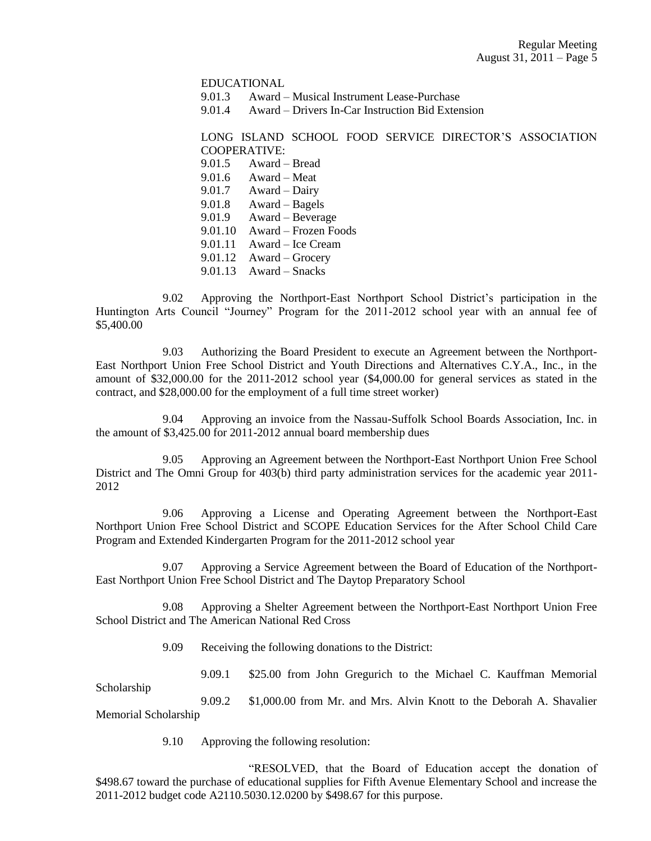EDUCATIONAL

9.01.3 Award – Musical Instrument Lease-Purchase

9.01.4 Award – Drivers In-Car Instruction Bid Extension

LONG ISLAND SCHOOL FOOD SERVICE DIRECTOR'S ASSOCIATION COOPERATIVE:

- 9.01.5 Award Bread
- $9.01.6$  Award Meat
- 9.01.7 Award Dairy
- 9.01.8 Award Bagels
- 9.01.9 Award Beverage
- 9.01.10 Award Frozen Foods
- 9.01.11 Award Ice Cream
- 9.01.12 Award Grocery
- 9.01.13 Award Snacks

9.02 Approving the Northport-East Northport School District's participation in the Huntington Arts Council "Journey" Program for the 2011-2012 school year with an annual fee of \$5,400.00

9.03 Authorizing the Board President to execute an Agreement between the Northport-East Northport Union Free School District and Youth Directions and Alternatives C.Y.A., Inc., in the amount of \$32,000.00 for the 2011-2012 school year (\$4,000.00 for general services as stated in the contract, and \$28,000.00 for the employment of a full time street worker)

9.04 Approving an invoice from the Nassau-Suffolk School Boards Association, Inc. in the amount of \$3,425.00 for 2011-2012 annual board membership dues

9.05 Approving an Agreement between the Northport-East Northport Union Free School District and The Omni Group for 403(b) third party administration services for the academic year 2011- 2012

9.06 Approving a License and Operating Agreement between the Northport-East Northport Union Free School District and SCOPE Education Services for the After School Child Care Program and Extended Kindergarten Program for the 2011-2012 school year

9.07 Approving a Service Agreement between the Board of Education of the Northport-East Northport Union Free School District and The Daytop Preparatory School

9.08 Approving a Shelter Agreement between the Northport-East Northport Union Free School District and The American National Red Cross

9.09 Receiving the following donations to the District:

9.09.1 \$25.00 from John Gregurich to the Michael C. Kauffman Memorial

Scholarship

9.09.2 \$1,000.00 from Mr. and Mrs. Alvin Knott to the Deborah A. Shavalier Memorial Scholarship

9.10 Approving the following resolution:

"RESOLVED, that the Board of Education accept the donation of \$498.67 toward the purchase of educational supplies for Fifth Avenue Elementary School and increase the 2011-2012 budget code A2110.5030.12.0200 by \$498.67 for this purpose.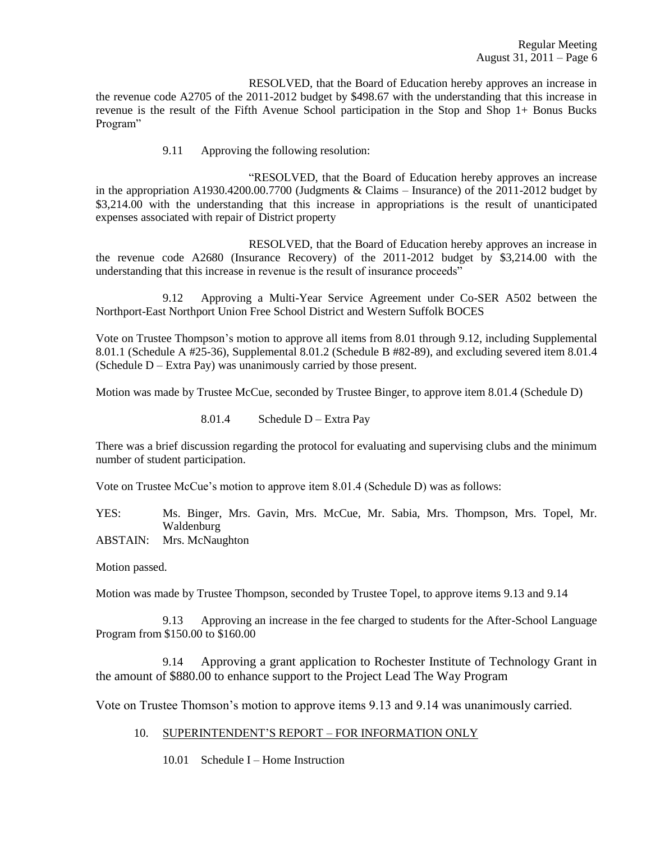RESOLVED, that the Board of Education hereby approves an increase in the revenue code A2705 of the 2011-2012 budget by \$498.67 with the understanding that this increase in revenue is the result of the Fifth Avenue School participation in the Stop and Shop 1+ Bonus Bucks Program"

9.11 Approving the following resolution:

"RESOLVED, that the Board of Education hereby approves an increase in the appropriation A1930.4200.00.7700 (Judgments & Claims – Insurance) of the 2011-2012 budget by \$3,214.00 with the understanding that this increase in appropriations is the result of unanticipated expenses associated with repair of District property

RESOLVED, that the Board of Education hereby approves an increase in the revenue code A2680 (Insurance Recovery) of the 2011-2012 budget by \$3,214.00 with the understanding that this increase in revenue is the result of insurance proceeds"

9.12 Approving a Multi-Year Service Agreement under Co-SER A502 between the Northport-East Northport Union Free School District and Western Suffolk BOCES

Vote on Trustee Thompson's motion to approve all items from 8.01 through 9.12, including Supplemental 8.01.1 (Schedule A #25-36), Supplemental 8.01.2 (Schedule B #82-89), and excluding severed item 8.01.4 (Schedule  $D -$  Extra Pay) was unanimously carried by those present.

Motion was made by Trustee McCue, seconded by Trustee Binger, to approve item 8.01.4 (Schedule D)

8.01.4 Schedule D – Extra Pay

There was a brief discussion regarding the protocol for evaluating and supervising clubs and the minimum number of student participation.

Vote on Trustee McCue's motion to approve item 8.01.4 (Schedule D) was as follows:

YES: Ms. Binger, Mrs. Gavin, Mrs. McCue, Mr. Sabia, Mrs. Thompson, Mrs. Topel, Mr. Waldenburg

ABSTAIN: Mrs. McNaughton

Motion passed.

Motion was made by Trustee Thompson, seconded by Trustee Topel, to approve items 9.13 and 9.14

9.13 Approving an increase in the fee charged to students for the After-School Language Program from \$150.00 to \$160.00

9.14 Approving a grant application to Rochester Institute of Technology Grant in the amount of \$880.00 to enhance support to the Project Lead The Way Program

Vote on Trustee Thomson's motion to approve items 9.13 and 9.14 was unanimously carried.

- 10. SUPERINTENDENT'S REPORT FOR INFORMATION ONLY
	- 10.01 Schedule I Home Instruction